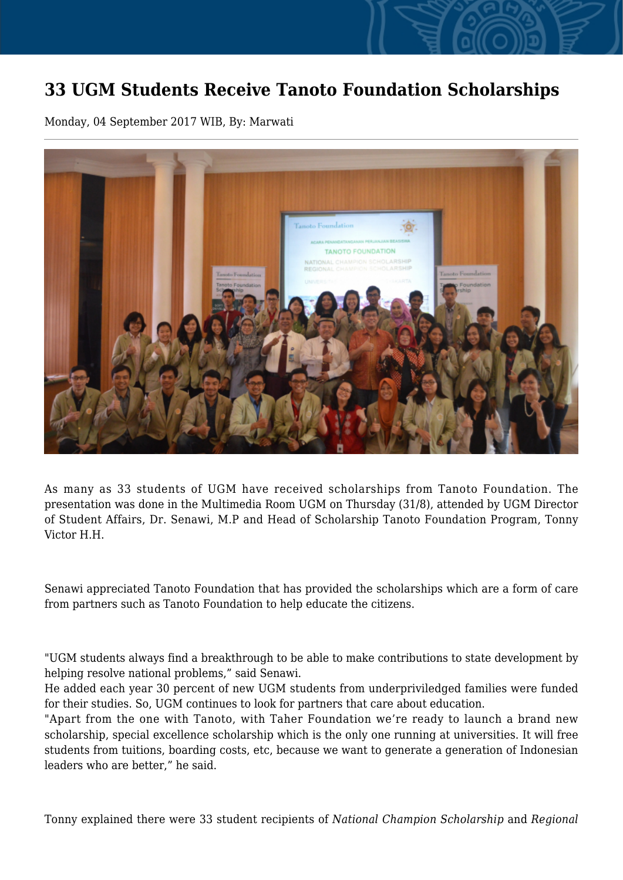## **33 UGM Students Receive Tanoto Foundation Scholarships**

Monday, 04 September 2017 WIB, By: Marwati



As many as 33 students of UGM have received scholarships from Tanoto Foundation. The presentation was done in the Multimedia Room UGM on Thursday (31/8), attended by UGM Director of Student Affairs, Dr. Senawi, M.P and Head of Scholarship Tanoto Foundation Program, Tonny Victor H.H.

Senawi appreciated Tanoto Foundation that has provided the scholarships which are a form of care from partners such as Tanoto Foundation to help educate the citizens.

"UGM students always find a breakthrough to be able to make contributions to state development by helping resolve national problems," said Senawi.

He added each year 30 percent of new UGM students from underpriviledged families were funded for their studies. So, UGM continues to look for partners that care about education.

"Apart from the one with Tanoto, with Taher Foundation we're ready to launch a brand new scholarship, special excellence scholarship which is the only one running at universities. It will free students from tuitions, boarding costs, etc, because we want to generate a generation of Indonesian leaders who are better," he said.

Tonny explained there were 33 student recipients of *National Champion Scholarship* and *Regional*